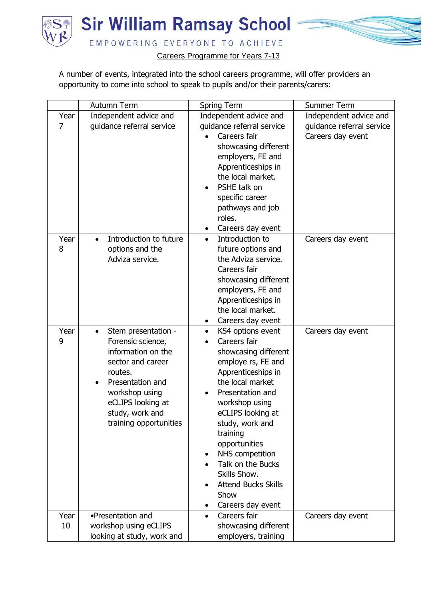

A number of events, integrated into the school careers programme, will offer providers an opportunity to come into school to speak to pupils and/or their parents/carers:

|            | Autumn Term                                                                                                                                                                                            | Spring Term                                                                                                                                                                                                                                                                                                                                                                                                 | Summer Term                                                              |
|------------|--------------------------------------------------------------------------------------------------------------------------------------------------------------------------------------------------------|-------------------------------------------------------------------------------------------------------------------------------------------------------------------------------------------------------------------------------------------------------------------------------------------------------------------------------------------------------------------------------------------------------------|--------------------------------------------------------------------------|
| Year<br>7  | Independent advice and<br>guidance referral service                                                                                                                                                    | Independent advice and<br>guidance referral service<br>Careers fair<br>showcasing different<br>employers, FE and<br>Apprenticeships in<br>the local market.<br>PSHE talk on<br>$\bullet$<br>specific career<br>pathways and job<br>roles.<br>Careers day event<br>٠                                                                                                                                         | Independent advice and<br>guidance referral service<br>Careers day event |
| Year<br>8  | Introduction to future<br>$\bullet$<br>options and the<br>Adviza service.                                                                                                                              | Introduction to<br>$\bullet$<br>future options and<br>the Adviza service.<br>Careers fair<br>showcasing different<br>employers, FE and<br>Apprenticeships in<br>the local market.<br>Careers day event<br>٠                                                                                                                                                                                                 | Careers day event                                                        |
| Year<br>9  | Stem presentation -<br>Forensic science,<br>information on the<br>sector and career<br>routes.<br>Presentation and<br>workshop using<br>eCLIPS looking at<br>study, work and<br>training opportunities | KS4 options event<br>$\bullet$<br>Careers fair<br>$\bullet$<br>showcasing different<br>employe rs, FE and<br>Apprenticeships in<br>the local market<br>Presentation and<br>$\bullet$<br>workshop using<br>eCLIPS looking at<br>study, work and<br>training<br>opportunities<br>NHS competition<br>Talk on the Bucks<br>Skills Show.<br><b>Attend Bucks Skills</b><br>Show<br>Careers day event<br>$\bullet$ | Careers day event                                                        |
| Year<br>10 | •Presentation and<br>workshop using eCLIPS<br>looking at study, work and                                                                                                                               | Careers fair<br>$\bullet$<br>showcasing different<br>employers, training                                                                                                                                                                                                                                                                                                                                    | Careers day event                                                        |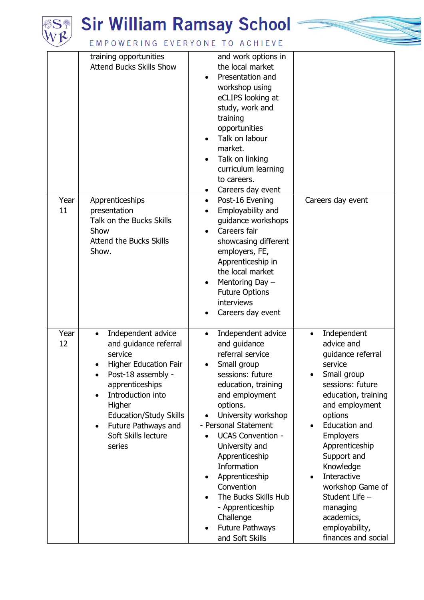

## **SH** Sir William Ramsay School



## EMPOWERING EVERYONE TO ACHIEVE

| Year<br>11 | training opportunities<br><b>Attend Bucks Skills Show</b><br>Apprenticeships<br>presentation<br>Talk on the Bucks Skills<br>Show<br><b>Attend the Bucks Skills</b><br>Show.                                                                                                                                              | and work options in<br>the local market<br>Presentation and<br>workshop using<br>eCLIPS looking at<br>study, work and<br>training<br>opportunities<br>Talk on labour<br>market.<br>Talk on linking<br>curriculum learning<br>to careers.<br>Careers day event<br>Post-16 Evening<br>$\bullet$<br>Employability and<br>guidance workshops<br>Careers fair<br>showcasing different<br>employers, FE,                                                       | Careers day event                                                                                                                                                                                                                                                                                                                                                                                  |
|------------|--------------------------------------------------------------------------------------------------------------------------------------------------------------------------------------------------------------------------------------------------------------------------------------------------------------------------|----------------------------------------------------------------------------------------------------------------------------------------------------------------------------------------------------------------------------------------------------------------------------------------------------------------------------------------------------------------------------------------------------------------------------------------------------------|----------------------------------------------------------------------------------------------------------------------------------------------------------------------------------------------------------------------------------------------------------------------------------------------------------------------------------------------------------------------------------------------------|
|            |                                                                                                                                                                                                                                                                                                                          | Apprenticeship in<br>the local market<br>Mentoring Day -<br><b>Future Options</b><br>interviews<br>Careers day event                                                                                                                                                                                                                                                                                                                                     |                                                                                                                                                                                                                                                                                                                                                                                                    |
| Year<br>12 | Independent advice<br>$\bullet$<br>and guidance referral<br>service<br><b>Higher Education Fair</b><br>$\bullet$<br>Post-18 assembly -<br>$\bullet$<br>apprenticeships<br>Introduction into<br>$\bullet$<br>Higher<br><b>Education/Study Skills</b><br>Future Pathways and<br>$\bullet$<br>Soft Skills lecture<br>series | Independent advice<br>$\bullet$<br>and guidance<br>referral service<br>Small group<br>sessions: future<br>education, training<br>and employment<br>options.<br>University workshop<br>- Personal Statement<br><b>UCAS Convention -</b><br>University and<br>Apprenticeship<br><b>Information</b><br>Apprenticeship<br>٠<br>Convention<br>The Bucks Skills Hub<br>- Apprenticeship<br>Challenge<br><b>Future Pathways</b><br>$\bullet$<br>and Soft Skills | Independent<br>$\bullet$<br>advice and<br>guidance referral<br>service<br>Small group<br>sessions: future<br>education, training<br>and employment<br>options<br>Education and<br>$\bullet$<br><b>Employers</b><br>Apprenticeship<br>Support and<br>Knowledge<br>Interactive<br>$\bullet$<br>workshop Game of<br>Student Life -<br>managing<br>academics,<br>employability,<br>finances and social |